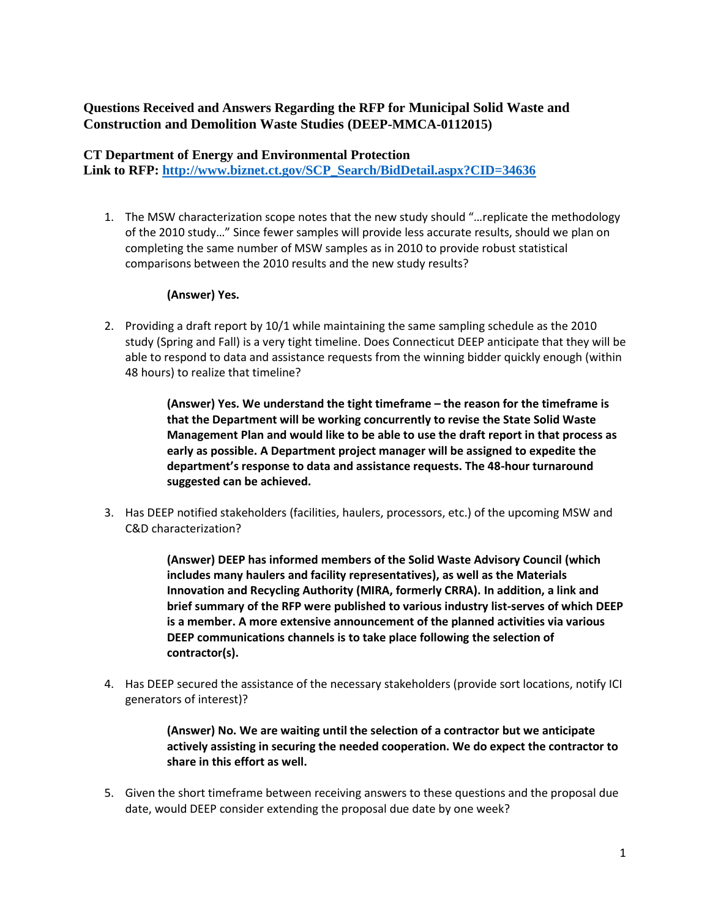# **Questions Received and Answers Regarding the RFP for Municipal Solid Waste and Construction and Demolition Waste Studies (DEEP-MMCA-0112015)**

#### **CT Department of Energy and Environmental Protection**

**Link to RFP: [http://www.biznet.ct.gov/SCP\\_Search/BidDetail.aspx?CID=34636](http://www.biznet.ct.gov/SCP_Search/BidDetail.aspx?CID=34636)**

1. The MSW characterization scope notes that the new study should "…replicate the methodology of the 2010 study…" Since fewer samples will provide less accurate results, should we plan on completing the same number of MSW samples as in 2010 to provide robust statistical comparisons between the 2010 results and the new study results?

#### **(Answer) Yes.**

2. Providing a draft report by 10/1 while maintaining the same sampling schedule as the 2010 study (Spring and Fall) is a very tight timeline. Does Connecticut DEEP anticipate that they will be able to respond to data and assistance requests from the winning bidder quickly enough (within 48 hours) to realize that timeline?

> **(Answer) Yes. We understand the tight timeframe – the reason for the timeframe is that the Department will be working concurrently to revise the State Solid Waste Management Plan and would like to be able to use the draft report in that process as early as possible. A Department project manager will be assigned to expedite the department's response to data and assistance requests. The 48-hour turnaround suggested can be achieved.**

3. Has DEEP notified stakeholders (facilities, haulers, processors, etc.) of the upcoming MSW and C&D characterization?

> **(Answer) DEEP has informed members of the Solid Waste Advisory Council (which includes many haulers and facility representatives), as well as the Materials Innovation and Recycling Authority (MIRA, formerly CRRA). In addition, a link and brief summary of the RFP were published to various industry list-serves of which DEEP is a member. A more extensive announcement of the planned activities via various DEEP communications channels is to take place following the selection of contractor(s).**

4. Has DEEP secured the assistance of the necessary stakeholders (provide sort locations, notify ICI generators of interest)?

> **(Answer) No. We are waiting until the selection of a contractor but we anticipate actively assisting in securing the needed cooperation. We do expect the contractor to share in this effort as well.**

5. Given the short timeframe between receiving answers to these questions and the proposal due date, would DEEP consider extending the proposal due date by one week?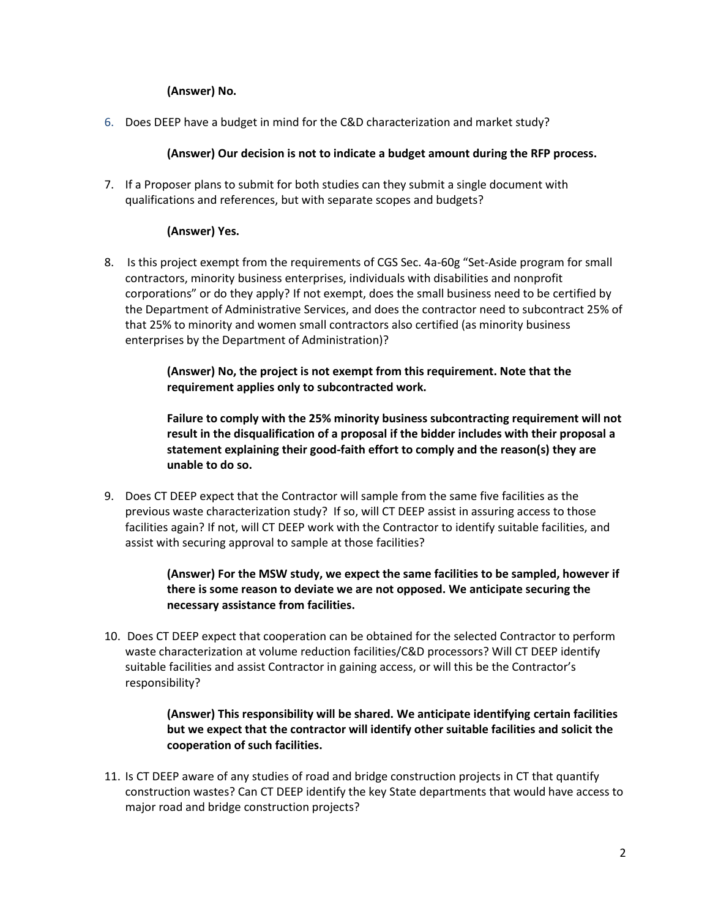### **(Answer) No.**

6. Does DEEP have a budget in mind for the C&D characterization and market study?

#### **(Answer) Our decision is not to indicate a budget amount during the RFP process.**

7. If a Proposer plans to submit for both studies can they submit a single document with qualifications and references, but with separate scopes and budgets?

### **(Answer) Yes.**

8. Is this project exempt from the requirements of CGS Sec. 4a-60g "Set-Aside program for small contractors, minority business enterprises, individuals with disabilities and nonprofit corporations" or do they apply? If not exempt, does the small business need to be certified by the Department of Administrative Services, and does the contractor need to subcontract 25% of that 25% to minority and women small contractors also certified (as minority business enterprises by the Department of Administration)?

> **(Answer) No, the project is not exempt from this requirement. Note that the requirement applies only to subcontracted work.**

**Failure to comply with the 25% minority business subcontracting requirement will not result in the disqualification of a proposal if the bidder includes with their proposal a statement explaining their good-faith effort to comply and the reason(s) they are unable to do so.**

9. Does CT DEEP expect that the Contractor will sample from the same five facilities as the previous waste characterization study? If so, will CT DEEP assist in assuring access to those facilities again? If not, will CT DEEP work with the Contractor to identify suitable facilities, and assist with securing approval to sample at those facilities?

## **(Answer) For the MSW study, we expect the same facilities to be sampled, however if there is some reason to deviate we are not opposed. We anticipate securing the necessary assistance from facilities.**

10. Does CT DEEP expect that cooperation can be obtained for the selected Contractor to perform waste characterization at volume reduction facilities/C&D processors? Will CT DEEP identify suitable facilities and assist Contractor in gaining access, or will this be the Contractor's responsibility?

## **(Answer) This responsibility will be shared. We anticipate identifying certain facilities but we expect that the contractor will identify other suitable facilities and solicit the cooperation of such facilities.**

11. Is CT DEEP aware of any studies of road and bridge construction projects in CT that quantify construction wastes? Can CT DEEP identify the key State departments that would have access to major road and bridge construction projects?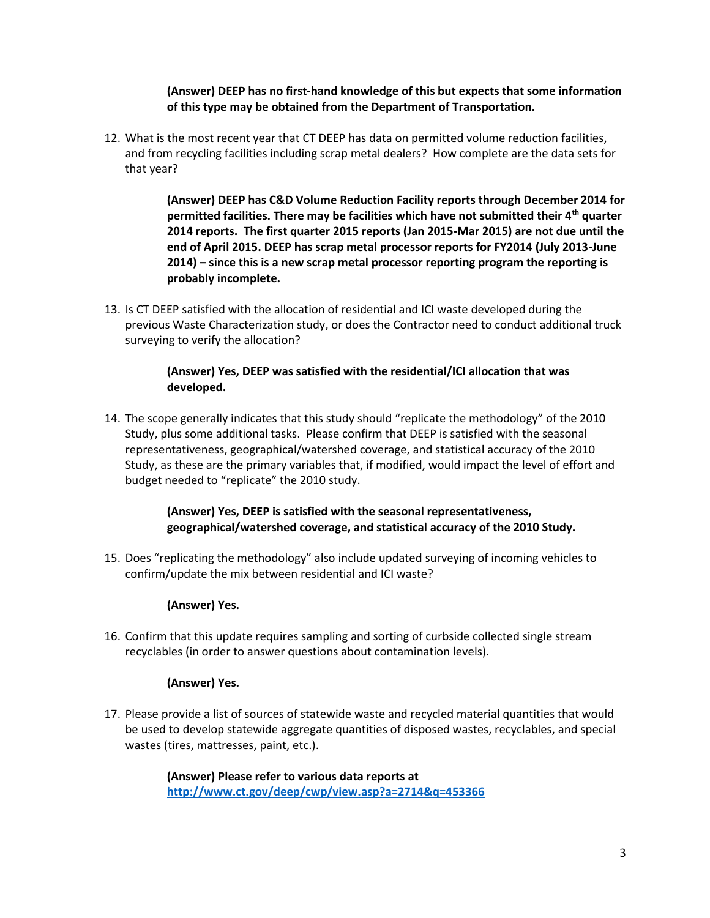**(Answer) DEEP has no first-hand knowledge of this but expects that some information of this type may be obtained from the Department of Transportation.**

12. What is the most recent year that CT DEEP has data on permitted volume reduction facilities, and from recycling facilities including scrap metal dealers? How complete are the data sets for that year?

> **(Answer) DEEP has C&D Volume Reduction Facility reports through December 2014 for permitted facilities. There may be facilities which have not submitted their 4th quarter 2014 reports. The first quarter 2015 reports (Jan 2015-Mar 2015) are not due until the end of April 2015. DEEP has scrap metal processor reports for FY2014 (July 2013-June 2014) – since this is a new scrap metal processor reporting program the reporting is probably incomplete.**

13. Is CT DEEP satisfied with the allocation of residential and ICI waste developed during the previous Waste Characterization study, or does the Contractor need to conduct additional truck surveying to verify the allocation?

### **(Answer) Yes, DEEP was satisfied with the residential/ICI allocation that was developed.**

14. The scope generally indicates that this study should "replicate the methodology" of the 2010 Study, plus some additional tasks. Please confirm that DEEP is satisfied with the seasonal representativeness, geographical/watershed coverage, and statistical accuracy of the 2010 Study, as these are the primary variables that, if modified, would impact the level of effort and budget needed to "replicate" the 2010 study.

## **(Answer) Yes, DEEP is satisfied with the seasonal representativeness, geographical/watershed coverage, and statistical accuracy of the 2010 Study.**

15. Does "replicating the methodology" also include updated surveying of incoming vehicles to confirm/update the mix between residential and ICI waste?

## **(Answer) Yes.**

16. Confirm that this update requires sampling and sorting of curbside collected single stream recyclables (in order to answer questions about contamination levels).

## **(Answer) Yes.**

17. Please provide a list of sources of statewide waste and recycled material quantities that would be used to develop statewide aggregate quantities of disposed wastes, recyclables, and special wastes (tires, mattresses, paint, etc.).

> **(Answer) Please refer to various data reports at <http://www.ct.gov/deep/cwp/view.asp?a=2714&q=453366>**